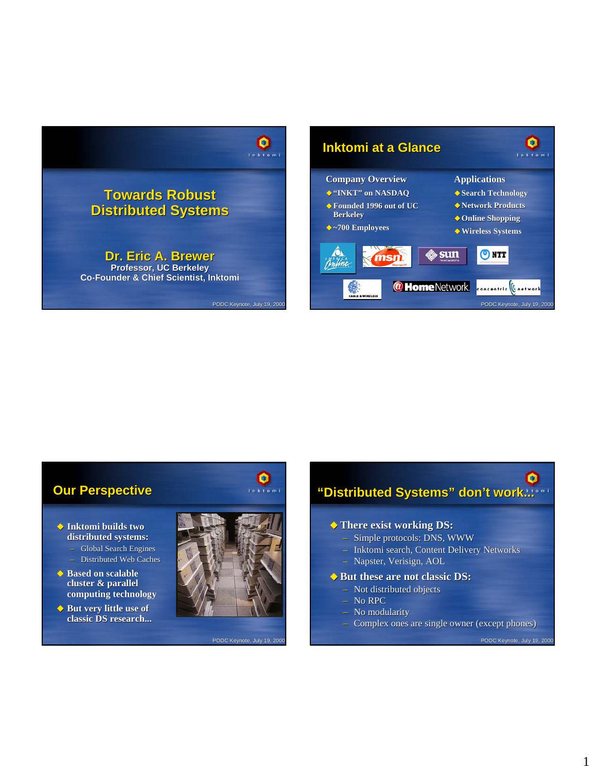



### **Our Perspective Our Perspective**

- **Inktomi builds two Inktomi builds two distributed systems: distributed systems:**
	- Global Search Engines
	- Distributed Web Caches
- ◆ Based on scalable **cluster & parallel cluster & parallel computing technology**
- ◆ But very little use of **classic DS research... classic DS research...**



PODC Keynote, July 19, 200

 $\overline{\mathbf{Q}}$ 

# $\bullet$ "Distributed Systems" don't work...<sup>.</sup>

### **There exist working DS: There exist working DS:**

- Simple protocols: DNS, WWW
- Inktomi search, Content Delivery Networks Inktomi search, Content Delivery Networks
- Napster, Verisign, AOL

#### $\blacklozenge$  But these are not classic DS:

- Not distributed objects
- No RPC
- No modularity
- $-$  Complex ones are single owner (except phones)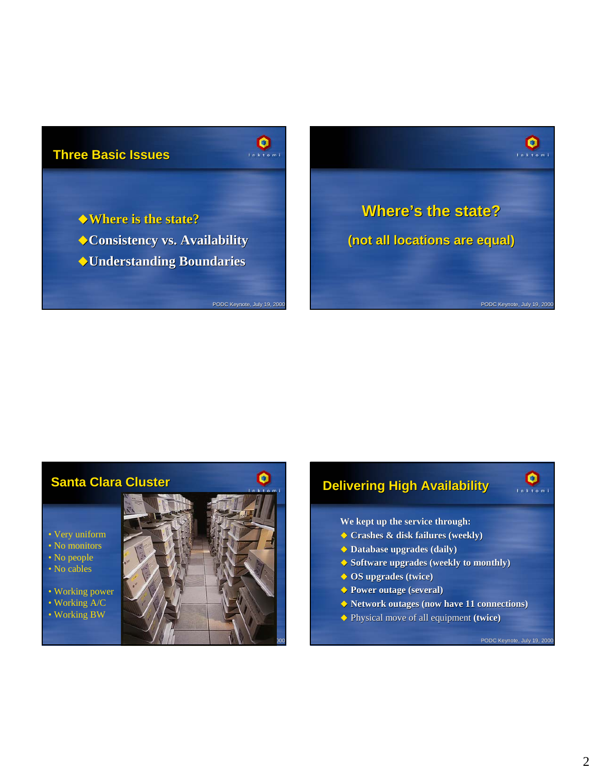# **Three Basic Issues Three Basic Issues**

- **Where is the state? Where is the state?**
- **Consistency vs. Availability Consistency vs. Availability**
- **Understanding Boundaries Understanding**

PODC Keynote, July 19, 2000

 $\overline{\mathbf{Q}}$ 



# **Santa Clara Cluster Santa Clara Cluster**

• Very uniform • No monitors • No people

• No cables

• Working power • Working A/C

• Working BW



# **Delivering High Availability**

**We kept up the service through: We kept up the service through:**

- **Crashes & disk failures (weekly) Crashes & disk failures (weekly)**
- **Database upgrades (daily) Database upgrades (daily)**
- **Software upgrades (weekly to monthly)**
- **OS upgrades (twice) OS upgrades (twice)**
- **Power outage (several)**
- **Network outages (now have 11 connections) 11**
- ◆ Physical move of all equipment (twice)

 $\bullet$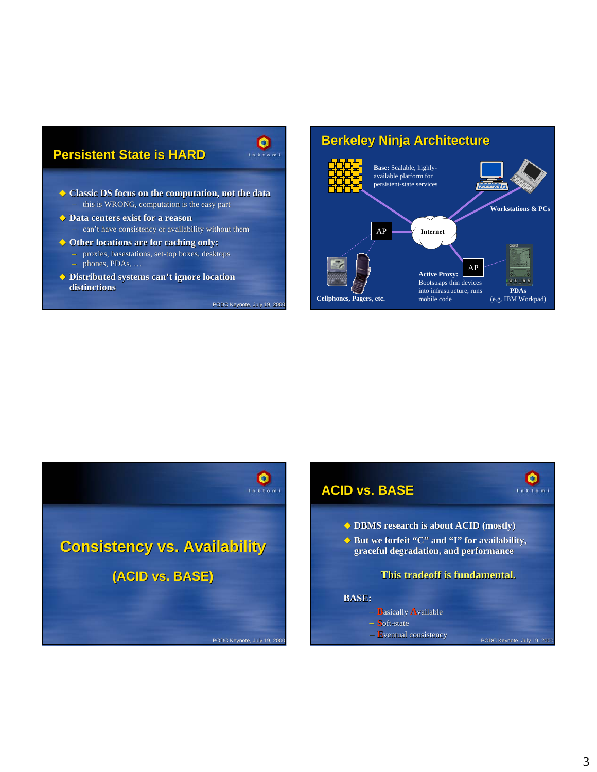# **Persistent State is HARD**

- **Classic DS focus on the computation, not the data**  $-$  this is WRONG, computation is the easy part
- **Data centers exist for a reason** – can't have consistency or availability without them
- **Other locations are for caching only: Other locations are for caching only:** – proxies, proxies, basestations, set-top boxes, desktops phones, PDAs, ...
- ◆ Distributed systems can't ignore location **distinctions distinctions**

PODC Keynote, July 19, 2000

 $\mathbf{Q}$ 

### AP **Active Proxy:** Bootstraps thin devices into infrastructure, runs mobile code AP **Workstations & PCs Berkeley Ninja Architecture Base:** Scalable, highlyavailable platform for persistent-state services **Internet PDAs Cellphones, Pagers, etc.** mobile code (e.g. IBM Workpad)



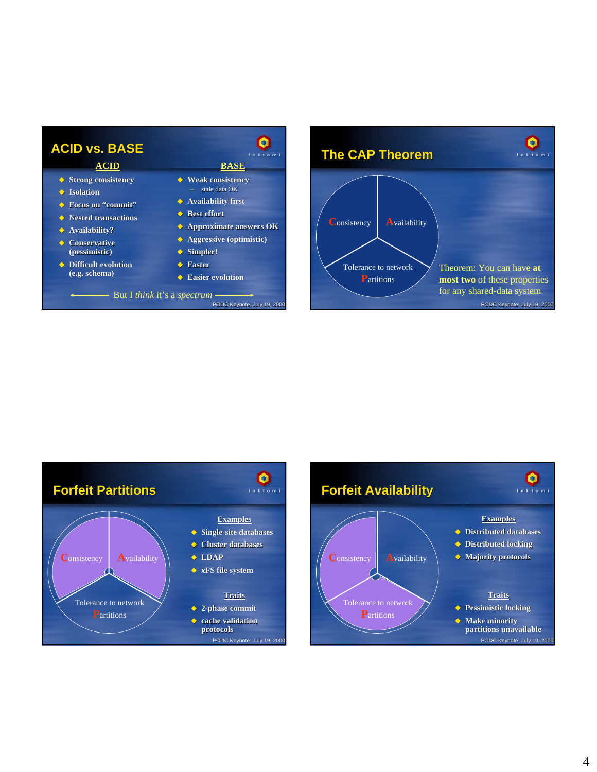





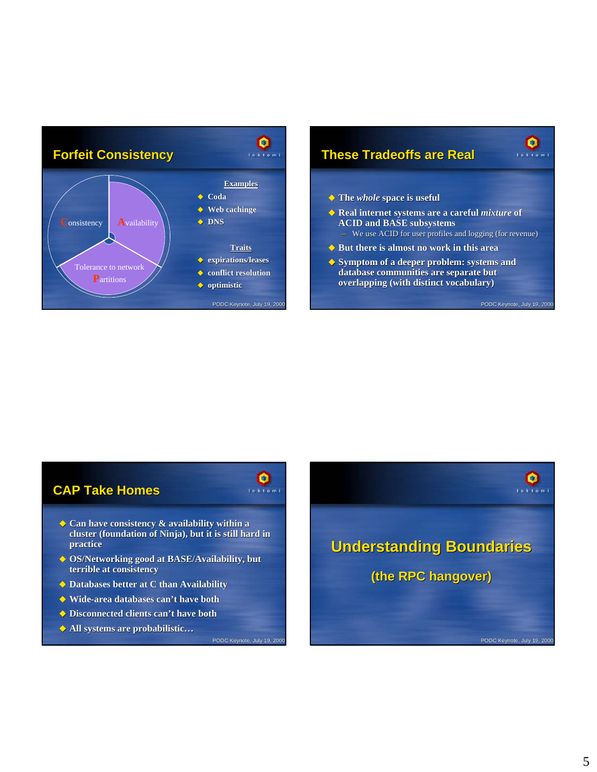

# **These Tradeoffs are Real are Real**

- **The** *whole* **space is useful space is useful**
- **Real internet systems are a careful** *mixture* **of ACID and BASE subsystems ACID subsystems**
	- We use ACID for user profiles and logging (for revenue)
- ◆ But there is almost no work in this area
- ◆ Symptom of a deeper problem: systems and database communities are separate but **overlapping (with distinct vocabulary) overlapping (with distinct vocabulary)**

PODC Keynote, July 19, 2000

 $\overline{\mathbf{e}}$ 

# **CAP Take Homes**

- ◆ Can have consistency & availability within a **cluster (foundation of Ninja) cluster of Ninja), but it is still hard in , but it is still hard in practice**
- **OS/Networking good at BASE/Availability, but terrible at consistency**
- **Databases better at C than Availability**
- **Wide-area databases can't have both**
- **Disconnected clients can't have both**
- **All systems are probabilistic…**

PODC Keynote, July 19, 200

 $\overline{\mathbf{Q}}$ 

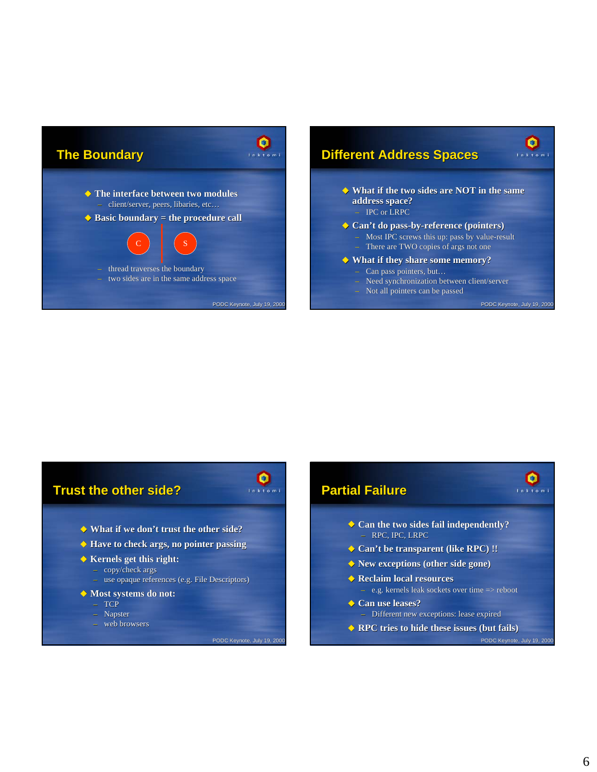



 $\bullet$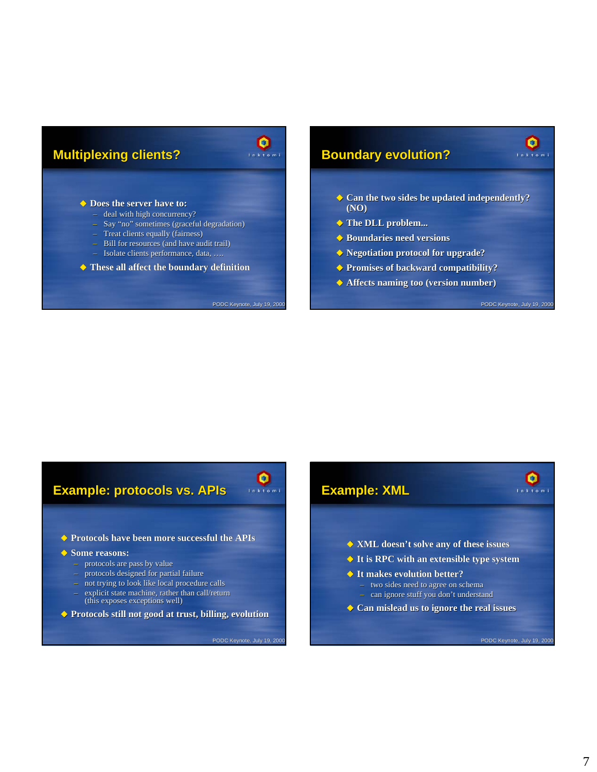### **Multiplexing clients?**



PODC Keynote, July 19, 2000

#### ◆ Does the server have to:

- deal with high concurrency?
- $-$  Say "no" sometimes (graceful degradation)
- $-$  Treat clients equally (fairness)
- $-$  Bill for resources (and have audit trail) – Isolate clients performance, data, …. Isolate clients performance, data, ….
- 
- **These all affect the boundary definition**

### **Boundary evolution?**

- ◆ Can the two sides be updated independently? **(NO)**
- **The DLL problem... The DLL problem...**
- **Boundaries need versions Boundaries need versions**
- **Negotiation protocol for upgrade?**
- **Promises of backward compatibility?**
- **Affects naming too (version number) Affects naming too (version number)**

PODC Keynote, July 19, 2000

Ο Inktom

# **Example: protocols vs. APIs Example: protocols vs. APIs**

**Protocols have been more successful the APIs Protocols have been more successful the APIs**

#### $\triangle$  Some reasons:

- protocols are pass by value
- protocols designed for partial failure
- not trying to look like local procedure calls – explicit state machine, rather than call/return
- (this exposes exceptions well)
- **Protocols still not good at trust, billing, evolution**

PODC Keynote, July 19, 200

 $\mathbf{Q}$ 

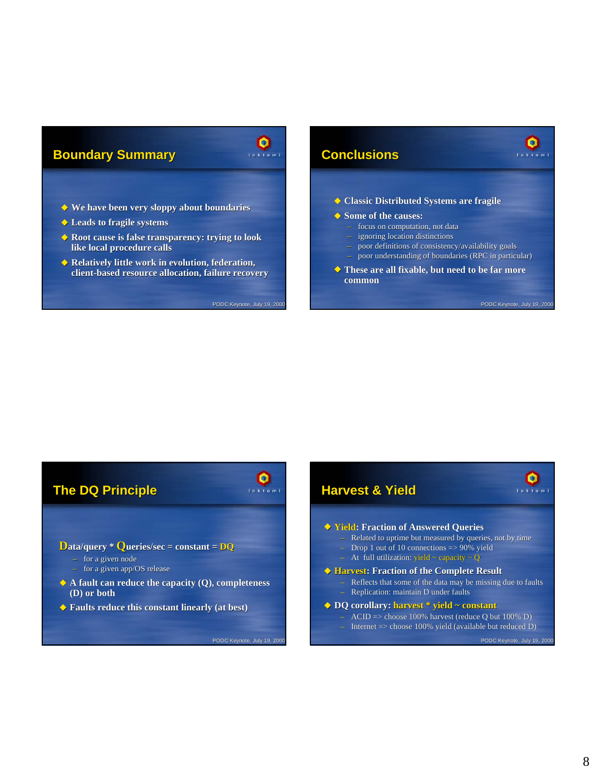### **Boundary Summary**



- **We have been very sloppy about boundaries We have been very sloppy about boundaries**
- **Leads to fragile systems Leads to fragile**
- ◆ Root cause is false transparency: trying to look **like local procedure calls like local procedure calls**
- ◆ Relatively little work in evolution, federation, **client-based resource allocation, failure recovery**

PODC Keynote, July 19, 2000

# **Conclusions Conclusions**

**Classic Distributed Systems are fragile**

#### **Some of the causes: Some of the causes:**

- focus on computation, not data
- ignoring location distinctions
- poor definitions of consistency/availability goals poor understanding of boundaries (RPC in particular)
- ◆ These are all fixable, but need to be far more **common**

PODC Keynote, July 19, 2000

 $\bullet$ Inktom



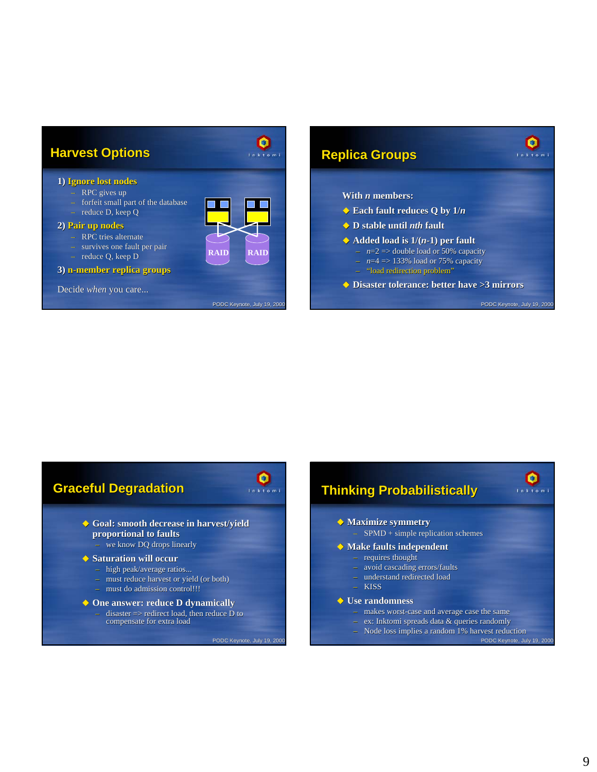



 $\bullet$  $ln k$  to  $m$ 

- 
- makes worst-case and average case the same
- ex: Inktomi spreads data & queries randomly
	- PODC Keynote, July 19, 200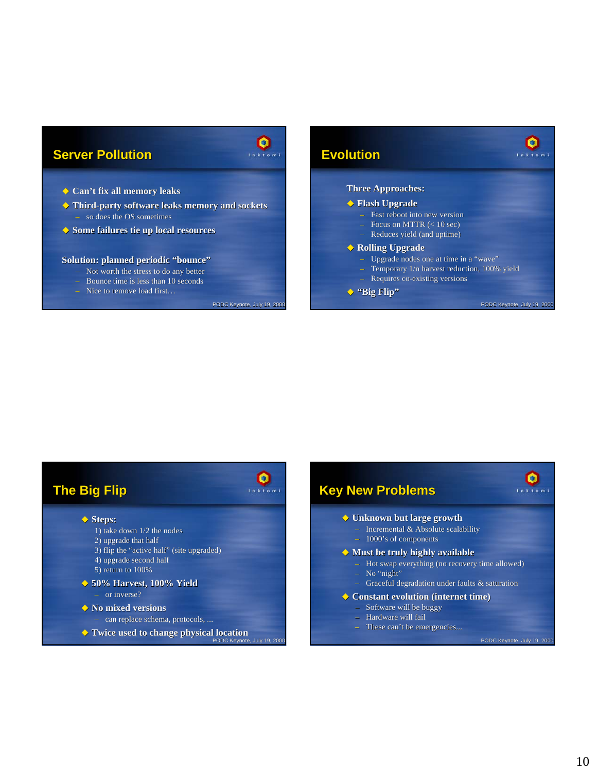### **Server Pollution**



PODC Keynote, July 19, 2000

#### **Can't fix all memory leaks Can't fix all memory leaks**

- **Third-party software leaks memory and sockets party software leaks memory and sockets** – so does the OS sometimes
- ◆ Some failures tie up local resources

#### **Solution: planned periodic "bounce"**

- Not worth the stress to do any better
- Bounce time is less than 10 seconds
- Nice to remove load first…

### **Evolution**

#### **Three Approaches:**

#### **Flash Upgrade**

- Fast reboot into new version
- Focus on MTTR  $(< 10$  sec)
- $-$  Reduces yield (and uptime)

#### ◆ Rolling Upgrade

- Upgrade nodes one at time in a "wave"
- Temporary 1/n harvest reduction, 100% yield

PODC Keynote, July 19, 2000

 $\bullet$  $\overline{1}$   $\overline{1}$   $\overline{1}$   $\overline{2}$   $\overline{1}$   $\overline{2}$   $\overline{1}$   $\overline{2}$   $\overline{1}$   $\overline{2}$   $\overline{1}$   $\overline{2}$   $\overline{1}$   $\overline{2}$   $\overline{1}$   $\overline{2}$   $\overline{1}$   $\overline{2}$   $\overline{1}$   $\overline{2}$   $\overline{1}$   $\overline{2}$   $\overline{1}$   $\overline{2}$   $\overline{$ 

 $\bullet$ Inktom

– Requires co-existing versions

#### **"Big Flip"**

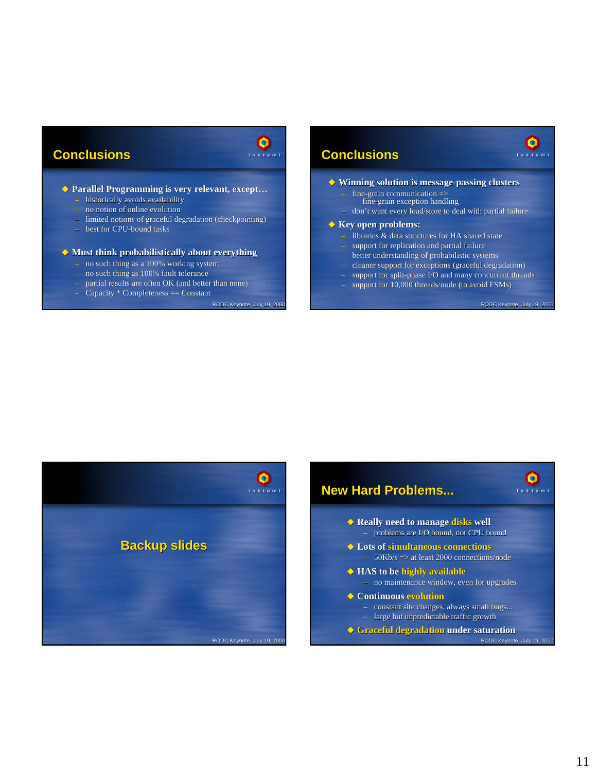### **Conclusions Conclusions**

# ◆ Parallel Programming is very relevant, except...

- historically avoids availability
- no notion of online evolution
- limited notions of graceful degradation (checkpointing)
- best for CPU-bound tasks

#### **Must think probabilistically about everything**

- no such thing as a 100% working system
- no such thing as 100% fault tolerance
- $-$  partial results are often OK (and better than none)
- $-$  Capacity  $*$  Completeness  $==$  Constant

#### PODC Keynote, July 19, 2000

 $\mathbf{Q}$ 

### **Conclusions Conclusions**



- fine-grain communication  $\Rightarrow$
- fine-grain exception handling
- don't want every load/store to deal with partial failure

#### $\blacklozenge$  Key open problems:

- libraries & data structures for HA shared state
- support for replication and partial failure
- better understanding of probabilistic systems
- $-\text{ cleaner support for exceptions (graceful degradation)}$
- $-$  support for split-phase I/O and many concurrent threads – support for 10,000 threads/node (to avoid FSMs)

PODC Keynote, July 19, 2000

 $\bullet$  $f \circ k$  to m